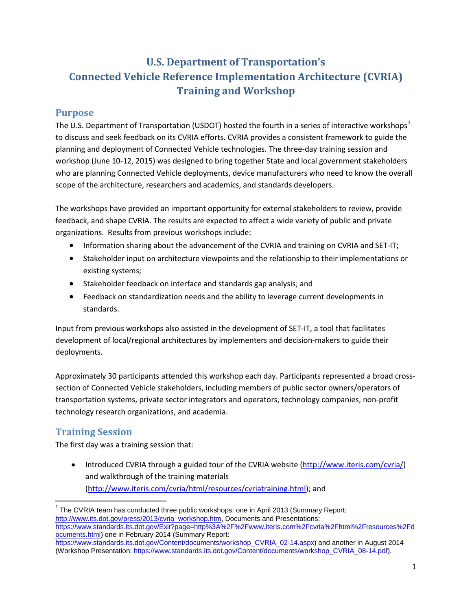## **U.S. Department of Transportation's Connected Vehicle Reference Implementation Architecture (CVRIA) Training and Workshop**

### **Purpose**

The U.S. Department of Transportation (USDOT) hosted the fourth in a series of interactive workshops<sup>[1](#page-0-0)</sup> to discuss and seek feedback on its CVRIA efforts. CVRIA provides a consistent framework to guide the planning and deployment of Connected Vehicle technologies. The three-day training session and workshop (June 10-12, 2015) was designed to bring together State and local government stakeholders who are planning Connected Vehicle deployments, device manufacturers who need to know the overall scope of the architecture, researchers and academics, and standards developers.

The workshops have provided an important opportunity for external stakeholders to review, provide feedback, and shape CVRIA. The results are expected to affect a wide variety of public and private organizations. Results from previous workshops include:

- Information sharing about the advancement of the CVRIA and training on CVRIA and SET-IT;
- Stakeholder input on architecture viewpoints and the relationship to their implementations or existing systems;
- Stakeholder feedback on interface and standards gap analysis; and
- Feedback on standardization needs and the ability to leverage current developments in standards.

Input from previous workshops also assisted in the development of SET-IT, a tool that facilitates development of local/regional architectures by implementers and decision-makers to guide their deployments.

Approximately 30 participants attended this workshop each day. Participants represented a broad crosssection of Connected Vehicle stakeholders, including members of public sector owners/operators of transportation systems, private sector integrators and operators, technology companies, non-profit technology research organizations, and academia.

## **Training Session**

The first day was a training session that:

• Introduced CVRIA through a guided tour of the CVRIA website [\(http://www.iteris.com/cvria/\)](http://www.iteris.com/cvria/) and walkthrough of the training materials [\(http://www.iteris.com/cvria/html/resources/cvriatraining.html\)](http://www.iteris.com/cvria/html/resources/cvriatraining.html); and

<span id="page-0-0"></span> $1$  The CVRIA team has conducted three public workshops: one in April 2013 (Summary Report: [http://www.its.dot.gov/press/2013/cvria\\_workshop.htm,](http://www.its.dot.gov/press/2013/cvria_workshop.htm) Documents and Presentations: [https://www.standards.its.dot.gov/Exit?page=http%3A%2F%2Fwww.iteris.com%2Fcvria%2Fhtml%2Fresources%2Fd](https://www.standards.its.dot.gov/Exit?page=http%3A%2F%2Fwww.iteris.com%2Fcvria%2Fhtml%2Fresources%2Fdocuments.html) [ocuments.html\)](https://www.standards.its.dot.gov/Exit?page=http%3A%2F%2Fwww.iteris.com%2Fcvria%2Fhtml%2Fresources%2Fdocuments.html) one in February 2014 (Summary Report: [https://www.standards.its.dot.gov/Content/documents/workshop\\_CVRIA\\_02-14.aspx\)](https://www.standards.its.dot.gov/Content/documents/workshop_CVRIA_02-14.aspx) and another in August 2014 (Workshop Presentation[: https://www.standards.its.dot.gov/Content/documents/workshop\\_CVRIA\\_08-14.pdf\)](https://www.standards.its.dot.gov/Content/documents/workshop_CVRIA_08-14.pdf).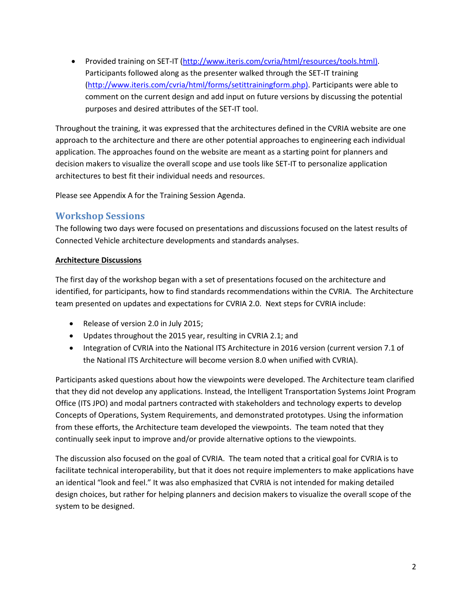• Provided training on SET-IT [\(http://www.iteris.com/cvria/html/resources/tools.html\)](http://www.iteris.com/cvria/html/resources/tools.html). Participants followed along as the presenter walked through the SET-IT training [\(http://www.iteris.com/cvria/html/forms/setittrainingform.php\)](http://www.iteris.com/cvria/html/forms/setittrainingform.php). Participants were able to comment on the current design and add input on future versions by discussing the potential purposes and desired attributes of the SET-IT tool.

Throughout the training, it was expressed that the architectures defined in the CVRIA website are one approach to the architecture and there are other potential approaches to engineering each individual application. The approaches found on the website are meant as a starting point for planners and decision makers to visualize the overall scope and use tools like SET-IT to personalize application architectures to best fit their individual needs and resources.

Please see Appendix A for the Training Session Agenda.

#### **Workshop Sessions**

The following two days were focused on presentations and discussions focused on the latest results of Connected Vehicle architecture developments and standards analyses.

#### **Architecture Discussions**

The first day of the workshop began with a set of presentations focused on the architecture and identified, for participants, how to find standards recommendations within the CVRIA. The Architecture team presented on updates and expectations for CVRIA 2.0. Next steps for CVRIA include:

- Release of version 2.0 in July 2015;
- Updates throughout the 2015 year, resulting in CVRIA 2.1; and
- Integration of CVRIA into the National ITS Architecture in 2016 version (current version 7.1 of the National ITS Architecture will become version 8.0 when unified with CVRIA).

Participants asked questions about how the viewpoints were developed. The Architecture team clarified that they did not develop any applications. Instead, the Intelligent Transportation Systems Joint Program Office (ITS JPO) and modal partners contracted with stakeholders and technology experts to develop Concepts of Operations, System Requirements, and demonstrated prototypes. Using the information from these efforts, the Architecture team developed the viewpoints. The team noted that they continually seek input to improve and/or provide alternative options to the viewpoints.

The discussion also focused on the goal of CVRIA. The team noted that a critical goal for CVRIA is to facilitate technical interoperability, but that it does not require implementers to make applications have an identical "look and feel." It was also emphasized that CVRIA is not intended for making detailed design choices, but rather for helping planners and decision makers to visualize the overall scope of the system to be designed.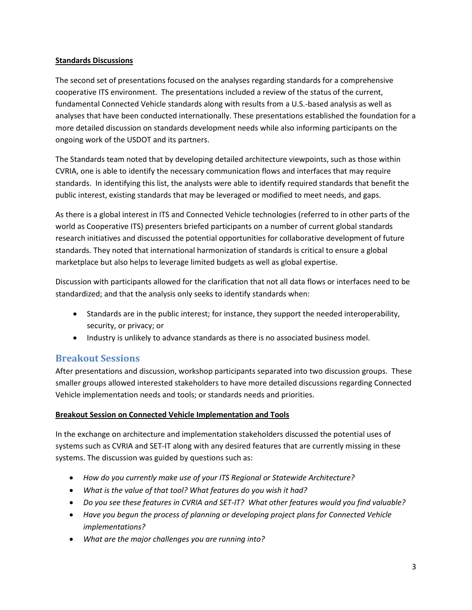#### **Standards Discussions**

The second set of presentations focused on the analyses regarding standards for a comprehensive cooperative ITS environment. The presentations included a review of the status of the current, fundamental Connected Vehicle standards along with results from a U.S.-based analysis as well as analyses that have been conducted internationally. These presentations established the foundation for a more detailed discussion on standards development needs while also informing participants on the ongoing work of the USDOT and its partners.

The Standards team noted that by developing detailed architecture viewpoints, such as those within CVRIA, one is able to identify the necessary communication flows and interfaces that may require standards. In identifying this list, the analysts were able to identify required standards that benefit the public interest, existing standards that may be leveraged or modified to meet needs, and gaps.

As there is a global interest in ITS and Connected Vehicle technologies (referred to in other parts of the world as Cooperative ITS) presenters briefed participants on a number of current global standards research initiatives and discussed the potential opportunities for collaborative development of future standards. They noted that international harmonization of standards is critical to ensure a global marketplace but also helps to leverage limited budgets as well as global expertise.

Discussion with participants allowed for the clarification that not all data flows or interfaces need to be standardized; and that the analysis only seeks to identify standards when:

- Standards are in the public interest; for instance, they support the needed interoperability, security, or privacy; or
- Industry is unlikely to advance standards as there is no associated business model.

#### **Breakout Sessions**

After presentations and discussion, workshop participants separated into two discussion groups. These smaller groups allowed interested stakeholders to have more detailed discussions regarding Connected Vehicle implementation needs and tools; or standards needs and priorities.

#### **Breakout Session on Connected Vehicle Implementation and Tools**

In the exchange on architecture and implementation stakeholders discussed the potential uses of systems such as CVRIA and SET-IT along with any desired features that are currently missing in these systems. The discussion was guided by questions such as:

- *How do you currently make use of your ITS Regional or Statewide Architecture?*
- *What is the value of that tool? What features do you wish it had?*
- *Do you see these features in CVRIA and SET-IT? What other features would you find valuable?*
- *Have you begun the process of planning or developing project plans for Connected Vehicle implementations?*
- *What are the major challenges you are running into?*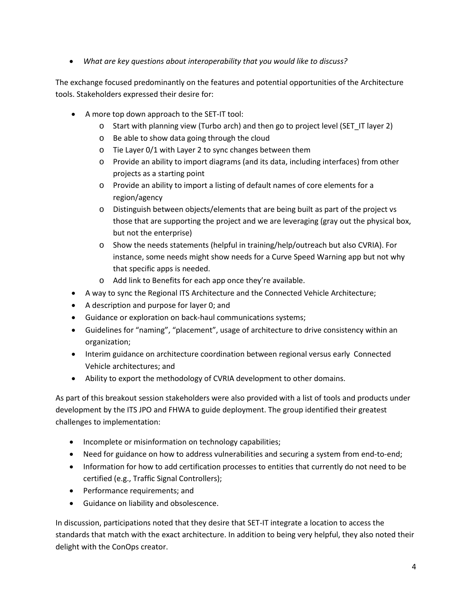• *What are key questions about interoperability that you would like to discuss?*

The exchange focused predominantly on the features and potential opportunities of the Architecture tools. Stakeholders expressed their desire for:

- A more top down approach to the SET-IT tool:
	- o Start with planning view (Turbo arch) and then go to project level (SET\_IT layer 2)
	- o Be able to show data going through the cloud
	- o Tie Layer 0/1 with Layer 2 to sync changes between them
	- o Provide an ability to import diagrams (and its data, including interfaces) from other projects as a starting point
	- o Provide an ability to import a listing of default names of core elements for a region/agency
	- o Distinguish between objects/elements that are being built as part of the project vs those that are supporting the project and we are leveraging (gray out the physical box, but not the enterprise)
	- o Show the needs statements (helpful in training/help/outreach but also CVRIA). For instance, some needs might show needs for a Curve Speed Warning app but not why that specific apps is needed.
	- o Add link to Benefits for each app once they're available.
- A way to sync the Regional ITS Architecture and the Connected Vehicle Architecture;
- A description and purpose for layer 0; and
- Guidance or exploration on back-haul communications systems;
- Guidelines for "naming", "placement", usage of architecture to drive consistency within an organization;
- Interim guidance on architecture coordination between regional versus early Connected Vehicle architectures; and
- Ability to export the methodology of CVRIA development to other domains.

As part of this breakout session stakeholders were also provided with a list of tools and products under development by the ITS JPO and FHWA to guide deployment. The group identified their greatest challenges to implementation:

- Incomplete or misinformation on technology capabilities;
- Need for guidance on how to address vulnerabilities and securing a system from end-to-end;
- Information for how to add certification processes to entities that currently do not need to be certified (e.g., Traffic Signal Controllers);
- Performance requirements; and
- Guidance on liability and obsolescence.

In discussion, participations noted that they desire that SET-IT integrate a location to access the standards that match with the exact architecture. In addition to being very helpful, they also noted their delight with the ConOps creator.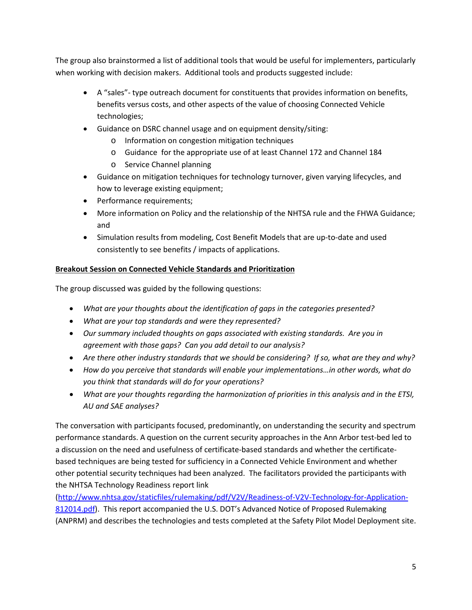The group also brainstormed a list of additional tools that would be useful for implementers, particularly when working with decision makers. Additional tools and products suggested include:

- A "sales"- type outreach document for constituents that provides information on benefits, benefits versus costs, and other aspects of the value of choosing Connected Vehicle technologies;
- Guidance on DSRC channel usage and on equipment density/siting:
	- o Information on congestion mitigation techniques
	- o Guidance for the appropriate use of at least Channel 172 and Channel 184
	- o Service Channel planning
- Guidance on mitigation techniques for technology turnover, given varying lifecycles, and how to leverage existing equipment;
- Performance requirements;
- More information on Policy and the relationship of the NHTSA rule and the FHWA Guidance; and
- Simulation results from modeling, Cost Benefit Models that are up-to-date and used consistently to see benefits / impacts of applications.

#### **Breakout Session on Connected Vehicle Standards and Prioritization**

The group discussed was guided by the following questions:

- *What are your thoughts about the identification of gaps in the categories presented?*
- *What are your top standards and were they represented?*
- *Our summary included thoughts on gaps associated with existing standards. Are you in agreement with those gaps? Can you add detail to our analysis?*
- *Are there other industry standards that we should be considering? If so, what are they and why?*
- *How do you perceive that standards will enable your implementations…in other words, what do you think that standards will do for your operations?*
- *What are your thoughts regarding the harmonization of priorities in this analysis and in the ETSI, AU and SAE analyses?*

The conversation with participants focused, predominantly, on understanding the security and spectrum performance standards. A question on the current security approaches in the Ann Arbor test-bed led to a discussion on the need and usefulness of certificate-based standards and whether the certificatebased techniques are being tested for sufficiency in a Connected Vehicle Environment and whether other potential security techniques had been analyzed. The facilitators provided the participants with the NHTSA Technology Readiness report link

[\(http://www.nhtsa.gov/staticfiles/rulemaking/pdf/V2V/Readiness-of-V2V-Technology-for-Application-](http://www.nhtsa.gov/staticfiles/rulemaking/pdf/V2V/Readiness-of-V2V-Technology-for-Application-812014.pdf)[812014.pdf\)](http://www.nhtsa.gov/staticfiles/rulemaking/pdf/V2V/Readiness-of-V2V-Technology-for-Application-812014.pdf). This report accompanied the U.S. DOT's Advanced Notice of Proposed Rulemaking (ANPRM) and describes the technologies and tests completed at the Safety Pilot Model Deployment site.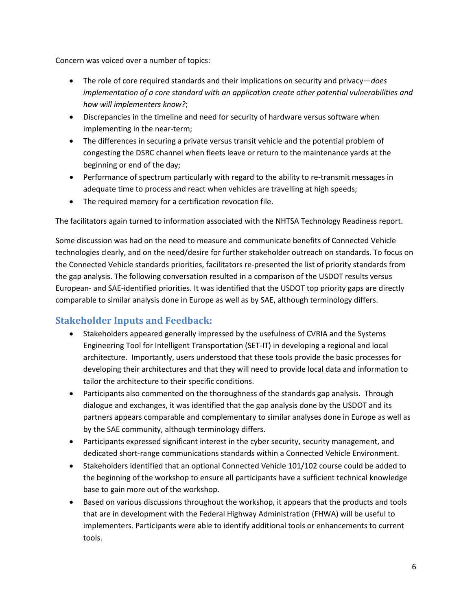Concern was voiced over a number of topics:

- The role of core required standards and their implications on security and privacy—*does implementation of a core standard with an application create other potential vulnerabilities and how will implementers know?*;
- Discrepancies in the timeline and need for security of hardware versus software when implementing in the near-term;
- The differences in securing a private versus transit vehicle and the potential problem of congesting the DSRC channel when fleets leave or return to the maintenance yards at the beginning or end of the day;
- Performance of spectrum particularly with regard to the ability to re-transmit messages in adequate time to process and react when vehicles are travelling at high speeds;
- The required memory for a certification revocation file.

The facilitators again turned to information associated with the NHTSA Technology Readiness report.

Some discussion was had on the need to measure and communicate benefits of Connected Vehicle technologies clearly, and on the need/desire for further stakeholder outreach on standards. To focus on the Connected Vehicle standards priorities, facilitators re-presented the list of priority standards from the gap analysis. The following conversation resulted in a comparison of the USDOT results versus European- and SAE-identified priorities. It was identified that the USDOT top priority gaps are directly comparable to similar analysis done in Europe as well as by SAE, although terminology differs.

## **Stakeholder Inputs and Feedback:**

- Stakeholders appeared generally impressed by the usefulness of CVRIA and the Systems Engineering Tool for Intelligent Transportation (SET-IT) in developing a regional and local architecture. Importantly, users understood that these tools provide the basic processes for developing their architectures and that they will need to provide local data and information to tailor the architecture to their specific conditions.
- Participants also commented on the thoroughness of the standards gap analysis. Through dialogue and exchanges, it was identified that the gap analysis done by the USDOT and its partners appears comparable and complementary to similar analyses done in Europe as well as by the SAE community, although terminology differs.
- Participants expressed significant interest in the cyber security, security management, and dedicated short-range communications standards within a Connected Vehicle Environment.
- Stakeholders identified that an optional Connected Vehicle 101/102 course could be added to the beginning of the workshop to ensure all participants have a sufficient technical knowledge base to gain more out of the workshop.
- Based on various discussions throughout the workshop, it appears that the products and tools that are in development with the Federal Highway Administration (FHWA) will be useful to implementers. Participants were able to identify additional tools or enhancements to current tools.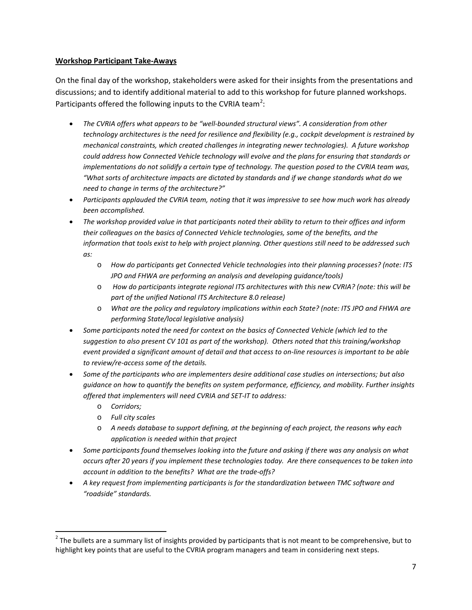#### **Workshop Participant Take-Aways**

On the final day of the workshop, stakeholders were asked for their insights from the presentations and discussions; and to identify additional material to add to this workshop for future planned workshops. Participants offered the following inputs to the CVRIA team<sup>[2](#page-6-0)</sup>:

- *The CVRIA offers what appears to be "well-bounded structural views". A consideration from other technology architectures is the need for resilience and flexibility (e.g., cockpit development is restrained by mechanical constraints, which created challenges in integrating newer technologies). A future workshop could address how Connected Vehicle technology will evolve and the plans for ensuring that standards or implementations do not solidify a certain type of technology. The question posed to the CVRIA team was, "What sorts of architecture impacts are dictated by standards and if we change standards what do we need to change in terms of the architecture?"*
- *Participants applauded the CVRIA team, noting that it was impressive to see how much work has already been accomplished.*
- *The workshop provided value in that participants noted their ability to return to their offices and inform their colleagues on the basics of Connected Vehicle technologies, some of the benefits, and the information that tools exist to help with project planning. Other questions still need to be addressed such as:*
	- o *How do participants get Connected Vehicle technologies into their planning processes? (note: ITS JPO and FHWA are performing an analysis and developing guidance/tools)*
	- o *How do participants integrate regional ITS architectures with this new CVRIA? (note: this will be part of the unified National ITS Architecture 8.0 release)*
	- o *What are the policy and regulatory implications within each State? (note: ITS JPO and FHWA are performing State/local legislative analysis)*
- *Some participants noted the need for context on the basics of Connected Vehicle (which led to the suggestion to also present CV 101 as part of the workshop). Others noted that this training/workshop event provided a significant amount of detail and that access to on-line resources is important to be able to review/re-access some of the details.*
- *Some of the participants who are implementers desire additional case studies on intersections; but also guidance on how to quantify the benefits on system performance, efficiency, and mobility. Further insights offered that implementers will need CVRIA and SET-IT to address:*
	- o *Corridors;*
	- o *Full city scales*
	- o *A needs database to support defining, at the beginning of each project, the reasons why each application is needed within that project*
- *Some participants found themselves looking into the future and asking if there was any analysis on what occurs after 20 years if you implement these technologies today. Are there consequences to be taken into account in addition to the benefits? What are the trade-offs?*
- *A key request from implementing participants is for the standardization between TMC software and "roadside" standards.*

<span id="page-6-0"></span> $2$  The bullets are a summary list of insights provided by participants that is not meant to be comprehensive, but to highlight key points that are useful to the CVRIA program managers and team in considering next steps.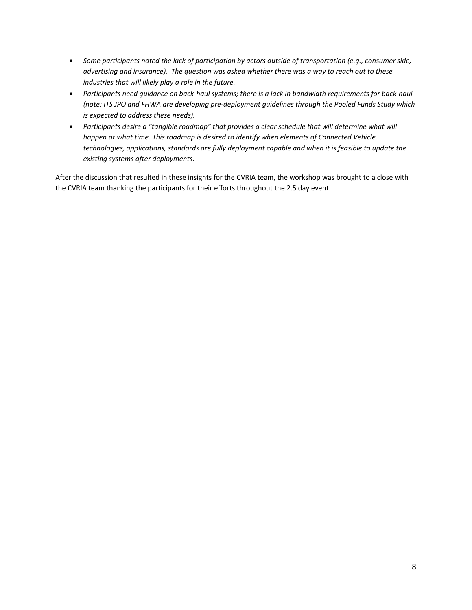- *Some participants noted the lack of participation by actors outside of transportation (e.g., consumer side, advertising and insurance). The question was asked whether there was a way to reach out to these industries that will likely play a role in the future.*
- *Participants need guidance on back-haul systems; there is a lack in bandwidth requirements for back-haul (note: ITS JPO and FHWA are developing pre-deployment guidelines through the Pooled Funds Study which is expected to address these needs).*
- *Participants desire a "tangible roadmap" that provides a clear schedule that will determine what will happen at what time. This roadmap is desired to identify when elements of Connected Vehicle technologies, applications, standards are fully deployment capable and when it is feasible to update the existing systems after deployments.*

After the discussion that resulted in these insights for the CVRIA team, the workshop was brought to a close with the CVRIA team thanking the participants for their efforts throughout the 2.5 day event.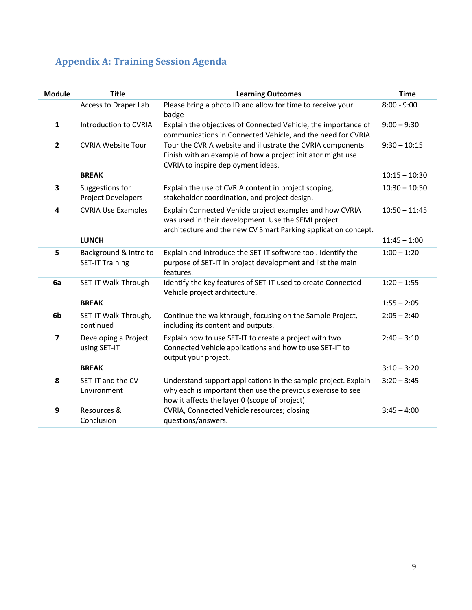# **Appendix A: Training Session Agenda**

| <b>Module</b>           | <b>Title</b>                                    | <b>Learning Outcomes</b>                                                                                                                                                          | <b>Time</b>     |
|-------------------------|-------------------------------------------------|-----------------------------------------------------------------------------------------------------------------------------------------------------------------------------------|-----------------|
|                         | Access to Draper Lab                            | Please bring a photo ID and allow for time to receive your<br>badge                                                                                                               | $8:00 - 9:00$   |
| $\mathbf{1}$            | Introduction to CVRIA                           | Explain the objectives of Connected Vehicle, the importance of<br>communications in Connected Vehicle, and the need for CVRIA.                                                    | $9:00 - 9:30$   |
| $\overline{2}$          | <b>CVRIA Website Tour</b>                       | Tour the CVRIA website and illustrate the CVRIA components.<br>Finish with an example of how a project initiator might use<br>CVRIA to inspire deployment ideas.                  | $9:30 - 10:15$  |
|                         | <b>BREAK</b>                                    |                                                                                                                                                                                   | $10:15 - 10:30$ |
| $\overline{\mathbf{3}}$ | Suggestions for<br><b>Project Developers</b>    | Explain the use of CVRIA content in project scoping,<br>stakeholder coordination, and project design.                                                                             | $10:30 - 10:50$ |
| 4                       | <b>CVRIA Use Examples</b>                       | Explain Connected Vehicle project examples and how CVRIA<br>was used in their development. Use the SEMI project<br>architecture and the new CV Smart Parking application concept. | $10:50 - 11:45$ |
|                         | <b>LUNCH</b>                                    |                                                                                                                                                                                   | $11:45 - 1:00$  |
| 5                       | Background & Intro to<br><b>SET-IT Training</b> | Explain and introduce the SET-IT software tool. Identify the<br>purpose of SET-IT in project development and list the main<br>features.                                           | $1:00 - 1:20$   |
| 6a                      | SET-IT Walk-Through                             | Identify the key features of SET-IT used to create Connected<br>Vehicle project architecture.                                                                                     | $1:20 - 1:55$   |
|                         | <b>BREAK</b>                                    |                                                                                                                                                                                   | $1:55 - 2:05$   |
| 6b                      | SET-IT Walk-Through,<br>continued               | Continue the walkthrough, focusing on the Sample Project,<br>including its content and outputs.                                                                                   | $2:05 - 2:40$   |
| $\overline{\mathbf{z}}$ | Developing a Project<br>using SET-IT            | Explain how to use SET-IT to create a project with two<br>Connected Vehicle applications and how to use SET-IT to<br>output your project.                                         | $2:40 - 3:10$   |
|                         | <b>BREAK</b>                                    |                                                                                                                                                                                   | $3:10 - 3:20$   |
| 8                       | SET-IT and the CV<br>Environment                | Understand support applications in the sample project. Explain<br>why each is important then use the previous exercise to see<br>how it affects the layer 0 (scope of project).   | $3:20 - 3:45$   |
| 9                       | Resources &<br>Conclusion                       | CVRIA, Connected Vehicle resources; closing<br>questions/answers.                                                                                                                 | $3:45 - 4:00$   |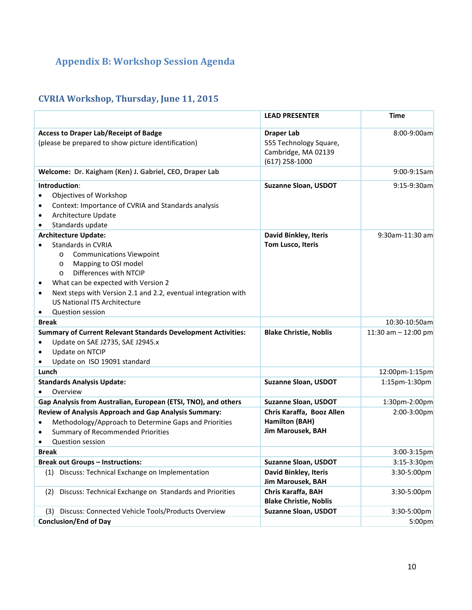# **Appendix B: Workshop Session Agenda**

## **CVRIA Workshop, Thursday, June 11, 2015**

|                                                                                                                                                                                                                                                                                                                                                                              | <b>LEAD PRESENTER</b>                                                                  | <b>Time</b>           |
|------------------------------------------------------------------------------------------------------------------------------------------------------------------------------------------------------------------------------------------------------------------------------------------------------------------------------------------------------------------------------|----------------------------------------------------------------------------------------|-----------------------|
| <b>Access to Draper Lab/Receipt of Badge</b><br>(please be prepared to show picture identification)                                                                                                                                                                                                                                                                          | <b>Draper Lab</b><br>555 Technology Square,<br>Cambridge, MA 02139<br>$(617)$ 258-1000 | 8:00-9:00am           |
| Welcome: Dr. Kaigham (Ken) J. Gabriel, CEO, Draper Lab                                                                                                                                                                                                                                                                                                                       |                                                                                        | $9:00 - 9:15$ am      |
| Introduction:<br>Objectives of Workshop<br>Context: Importance of CVRIA and Standards analysis<br>٠<br>Architecture Update<br>$\bullet$<br>Standards update<br>$\bullet$                                                                                                                                                                                                     | <b>Suzanne Sloan, USDOT</b>                                                            | $9:15-9:30am$         |
| <b>Architecture Update:</b><br>Standards in CVRIA<br><b>Communications Viewpoint</b><br>$\circ$<br>Mapping to OSI model<br>$\circ$<br>Differences with NTCIP<br>$\circ$<br>What can be expected with Version 2<br>Next steps with Version 2.1 and 2.2, eventual integration with<br>$\bullet$<br><b>US National ITS Architecture</b><br><b>Question session</b><br>$\bullet$ | <b>David Binkley, Iteris</b><br>Tom Lusco, Iteris                                      | 9:30am-11:30 am       |
| <b>Break</b>                                                                                                                                                                                                                                                                                                                                                                 |                                                                                        | 10:30-10:50am         |
| <b>Summary of Current Relevant Standards Development Activities:</b><br>Update on SAE J2735, SAE J2945.x<br>Update on NTCIP<br>$\bullet$<br>Update on ISO 19091 standard                                                                                                                                                                                                     | <b>Blake Christie, Noblis</b>                                                          | 11:30 am $-$ 12:00 pm |
| Lunch                                                                                                                                                                                                                                                                                                                                                                        |                                                                                        | 12:00pm-1:15pm        |
| <b>Standards Analysis Update:</b><br>Overview                                                                                                                                                                                                                                                                                                                                | <b>Suzanne Sloan, USDOT</b>                                                            | 1:15pm-1:30pm         |
| Gap Analysis from Australian, European (ETSI, TNO), and others                                                                                                                                                                                                                                                                                                               | <b>Suzanne Sloan, USDOT</b>                                                            | 1:30pm-2:00pm         |
| Review of Analysis Approach and Gap Analysis Summary:<br>Methodology/Approach to Determine Gaps and Priorities<br><b>Summary of Recommended Priorities</b><br>Question session                                                                                                                                                                                               | Chris Karaffa, Booz Allen<br>Hamilton (BAH)<br>Jim Marousek, BAH                       | $2:00-3:00$ pm        |
| <b>Break</b>                                                                                                                                                                                                                                                                                                                                                                 |                                                                                        | $3:00 - 3:15$ pm      |
| <b>Break out Groups - Instructions:</b>                                                                                                                                                                                                                                                                                                                                      | <b>Suzanne Sloan, USDOT</b>                                                            | $3:15-3:30$ pm        |
| Discuss: Technical Exchange on Implementation<br>(1)                                                                                                                                                                                                                                                                                                                         | <b>David Binkley, Iteris</b><br>Jim Marousek, BAH                                      | 3:30-5:00pm           |
| Discuss: Technical Exchange on Standards and Priorities<br>(2)                                                                                                                                                                                                                                                                                                               | Chris Karaffa, BAH<br><b>Blake Christie, Noblis</b>                                    | 3:30-5:00pm           |
| Discuss: Connected Vehicle Tools/Products Overview<br>(3)                                                                                                                                                                                                                                                                                                                    | <b>Suzanne Sloan, USDOT</b>                                                            | 3:30-5:00pm           |
| <b>Conclusion/End of Day</b>                                                                                                                                                                                                                                                                                                                                                 |                                                                                        | 5:00 <sub>pm</sub>    |